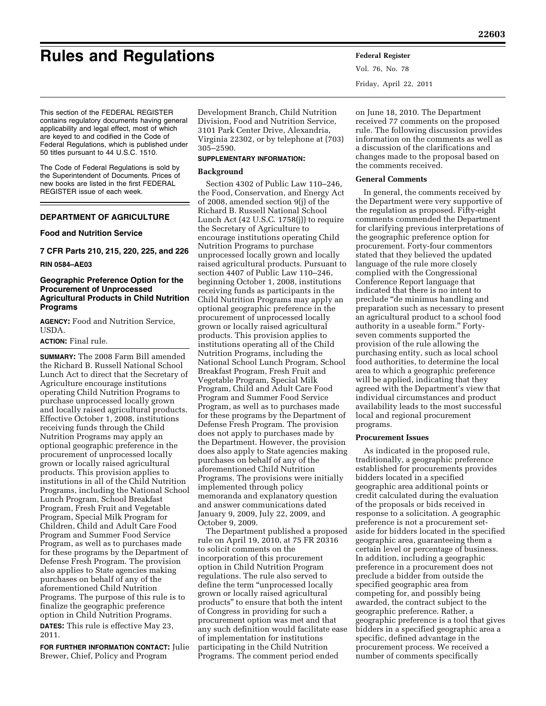# **Rules and Regulations Federal Register**

Vol. 76, No. 78 Friday, April 22, 2011

This section of the FEDERAL REGISTER contains regulatory documents having general applicability and legal effect, most of which are keyed to and codified in the Code of Federal Regulations, which is published under 50 titles pursuant to 44 U.S.C. 1510.

The Code of Federal Regulations is sold by the Superintendent of Documents. Prices of new books are listed in the first FEDERAL REGISTER issue of each week.

# **DEPARTMENT OF AGRICULTURE**

# **Food and Nutrition Service**

**7 CFR Parts 210, 215, 220, 225, and 226** 

## **RIN 0584–AE03**

# **Geographic Preference Option for the Procurement of Unprocessed Agricultural Products in Child Nutrition Programs**

**AGENCY:** Food and Nutrition Service, USDA.

# **ACTION:** Final rule.

**SUMMARY:** The 2008 Farm Bill amended the Richard B. Russell National School Lunch Act to direct that the Secretary of Agriculture encourage institutions operating Child Nutrition Programs to purchase unprocessed locally grown and locally raised agricultural products. Effective October 1, 2008, institutions receiving funds through the Child Nutrition Programs may apply an optional geographic preference in the procurement of unprocessed locally grown or locally raised agricultural products. This provision applies to institutions in all of the Child Nutrition Programs, including the National School Lunch Program, School Breakfast Program, Fresh Fruit and Vegetable Program, Special Milk Program for Children, Child and Adult Care Food Program and Summer Food Service Program, as well as to purchases made for these programs by the Department of Defense Fresh Program. The provision also applies to State agencies making purchases on behalf of any of the aforementioned Child Nutrition Programs. The purpose of this rule is to finalize the geographic preference option in Child Nutrition Programs. **DATES:** This rule is effective May 23, 2011.

**FOR FURTHER INFORMATION CONTACT:** Julie Brewer, Chief, Policy and Program

Development Branch, Child Nutrition Division, Food and Nutrition Service, 3101 Park Center Drive, Alexandria, Virginia 22302, or by telephone at (703) 305–2590.

#### **SUPPLEMENTARY INFORMATION:**

#### **Background**

Section 4302 of Public Law 110–246, the Food, Conservation, and Energy Act of 2008, amended section 9(j) of the Richard B. Russell National School Lunch Act (42 U.S.C. 1758(j)) to require the Secretary of Agriculture to encourage institutions operating Child Nutrition Programs to purchase unprocessed locally grown and locally raised agricultural products. Pursuant to section 4407 of Public Law 110–246, beginning October 1, 2008, institutions receiving funds as participants in the Child Nutrition Programs may apply an optional geographic preference in the procurement of unprocessed locally grown or locally raised agricultural products. This provision applies to institutions operating all of the Child Nutrition Programs, including the National School Lunch Program, School Breakfast Program, Fresh Fruit and Vegetable Program, Special Milk Program, Child and Adult Care Food Program and Summer Food Service Program, as well as to purchases made for these programs by the Department of Defense Fresh Program. The provision does not apply to purchases made by the Department. However, the provision does also apply to State agencies making purchases on behalf of any of the aforementioned Child Nutrition Programs. The provisions were initially implemented through policy memoranda and explanatory question and answer communications dated January 9, 2009, July 22, 2009, and October 9, 2009.

The Department published a proposed rule on April 19, 2010, at 75 FR 20316 to solicit comments on the incorporation of this procurement option in Child Nutrition Program regulations. The rule also served to define the term ''unprocessed locally grown or locally raised agricultural products'' to ensure that both the intent of Congress in providing for such a procurement option was met and that any such definition would facilitate ease of implementation for institutions participating in the Child Nutrition Programs. The comment period ended

on June 18, 2010. The Department received 77 comments on the proposed rule. The following discussion provides information on the comments as well as a discussion of the clarifications and changes made to the proposal based on the comments received.

## **General Comments**

In general, the comments received by the Department were very supportive of the regulation as proposed. Fifty-eight comments commended the Department for clarifying previous interpretations of the geographic preference option for procurement. Forty-four commentors stated that they believed the updated language of the rule more closely complied with the Congressional Conference Report language that indicated that there is no intent to preclude ''de minimus handling and preparation such as necessary to present an agricultural product to a school food authority in a useable form.'' Fortyseven comments supported the provision of the rule allowing the purchasing entity, such as local school food authorities, to determine the local area to which a geographic preference will be applied, indicating that they agreed with the Department's view that individual circumstances and product availability leads to the most successful local and regional procurement programs.

### **Procurement Issues**

As indicated in the proposed rule, traditionally, a geographic preference established for procurements provides bidders located in a specified geographic area additional points or credit calculated during the evaluation of the proposals or bids received in response to a solicitation. A geographic preference is not a procurement setaside for bidders located in the specified geographic area, guaranteeing them a certain level or percentage of business. In addition, including a geographic preference in a procurement does not preclude a bidder from outside the specified geographic area from competing for, and possibly being awarded, the contract subject to the geographic preference. Rather, a geographic preference is a tool that gives bidders in a specified geographic area a specific, defined advantage in the procurement process. We received a number of comments specifically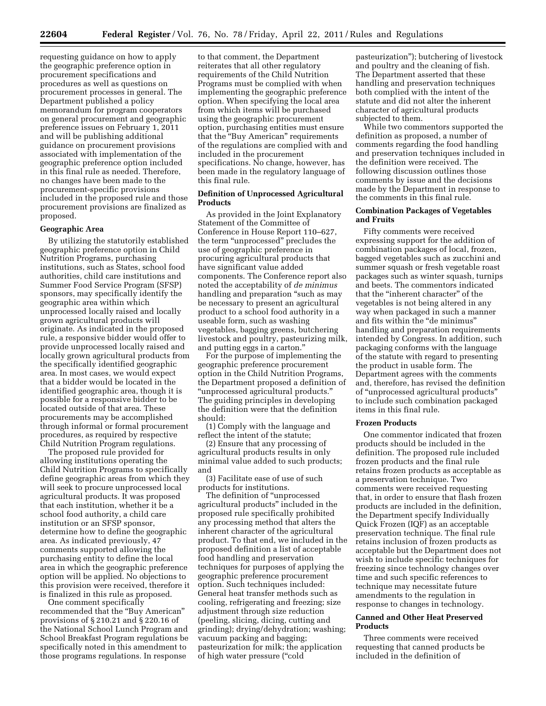requesting guidance on how to apply the geographic preference option in procurement specifications and procedures as well as questions on procurement processes in general. The Department published a policy memorandum for program cooperators on general procurement and geographic preference issues on February 1, 2011 and will be publishing additional guidance on procurement provisions associated with implementation of the geographic preference option included in this final rule as needed. Therefore, no changes have been made to the procurement-specific provisions included in the proposed rule and those procurement provisions are finalized as proposed.

#### **Geographic Area**

By utilizing the statutorily established geographic preference option in Child Nutrition Programs, purchasing institutions, such as States, school food authorities, child care institutions and Summer Food Service Program (SFSP) sponsors, may specifically identify the geographic area within which unprocessed locally raised and locally grown agricultural products will originate. As indicated in the proposed rule, a responsive bidder would offer to provide unprocessed locally raised and locally grown agricultural products from the specifically identified geographic area. In most cases, we would expect that a bidder would be located in the identified geographic area, though it is possible for a responsive bidder to be located outside of that area. These procurements may be accomplished through informal or formal procurement procedures, as required by respective Child Nutrition Program regulations.

The proposed rule provided for allowing institutions operating the Child Nutrition Programs to specifically define geographic areas from which they will seek to procure unprocessed local agricultural products. It was proposed that each institution, whether it be a school food authority, a child care institution or an SFSP sponsor, determine how to define the geographic area. As indicated previously, 47 comments supported allowing the purchasing entity to define the local area in which the geographic preference option will be applied. No objections to this provision were received, therefore it is finalized in this rule as proposed.

One comment specifically recommended that the ''Buy American'' provisions of § 210.21 and § 220.16 of the National School Lunch Program and School Breakfast Program regulations be specifically noted in this amendment to those programs regulations. In response

to that comment, the Department reiterates that all other regulatory requirements of the Child Nutrition Programs must be complied with when implementing the geographic preference option. When specifying the local area from which items will be purchased using the geographic procurement option, purchasing entities must ensure that the ''Buy American'' requirements of the regulations are complied with and included in the procurement specifications. No change, however, has been made in the regulatory language of this final rule.

### **Definition of Unprocessed Agricultural Products**

As provided in the Joint Explanatory Statement of the Committee of Conference in House Report 110–627, the term ''unprocessed'' precludes the use of geographic preference in procuring agricultural products that have significant value added components. The Conference report also noted the acceptability of *de minimus*  handling and preparation "such as may be necessary to present an agricultural product to a school food authority in a useable form, such as washing vegetables, bagging greens, butchering livestock and poultry, pasteurizing milk, and putting eggs in a carton.''

For the purpose of implementing the geographic preference procurement option in the Child Nutrition Programs, the Department proposed a definition of ''unprocessed agricultural products.'' The guiding principles in developing the definition were that the definition should:

(1) Comply with the language and reflect the intent of the statute;

(2) Ensure that any processing of agricultural products results in only minimal value added to such products; and

(3) Facilitate ease of use of such products for institutions.

The definition of ''unprocessed agricultural products'' included in the proposed rule specifically prohibited any processing method that alters the inherent character of the agricultural product. To that end, we included in the proposed definition a list of acceptable food handling and preservation techniques for purposes of applying the geographic preference procurement option. Such techniques included: General heat transfer methods such as cooling, refrigerating and freezing; size adjustment through size reduction (peeling, slicing, dicing, cutting and grinding); drying/dehydration; washing; vacuum packing and bagging; pasteurization for milk; the application of high water pressure (''cold

pasteurization''); butchering of livestock and poultry and the cleaning of fish. The Department asserted that these handling and preservation techniques both complied with the intent of the statute and did not alter the inherent character of agricultural products subjected to them.

While two commentors supported the definition as proposed, a number of comments regarding the food handling and preservation techniques included in the definition were received. The following discussion outlines those comments by issue and the decisions made by the Department in response to the comments in this final rule.

## **Combination Packages of Vegetables and Fruits**

Fifty comments were received expressing support for the addition of combination packages of local, frozen, bagged vegetables such as zucchini and summer squash or fresh vegetable roast packages such as winter squash, turnips and beets. The commentors indicated that the ''inherent character'' of the vegetables is not being altered in any way when packaged in such a manner and fits within the ''de minimus'' handling and preparation requirements intended by Congress. In addition, such packaging conforms with the language of the statute with regard to presenting the product in usable form. The Department agrees with the comments and, therefore, has revised the definition of ''unprocessed agricultural products'' to include such combination packaged items in this final rule.

## **Frozen Products**

One commentor indicated that frozen products should be included in the definition. The proposed rule included frozen products and the final rule retains frozen products as acceptable as a preservation technique. Two comments were received requesting that, in order to ensure that flash frozen products are included in the definition, the Department specify Individually Quick Frozen (IQF) as an acceptable preservation technique. The final rule retains inclusion of frozen products as acceptable but the Department does not wish to include specific techniques for freezing since technology changes over time and such specific references to technique may necessitate future amendments to the regulation in response to changes in technology.

### **Canned and Other Heat Preserved Products**

Three comments were received requesting that canned products be included in the definition of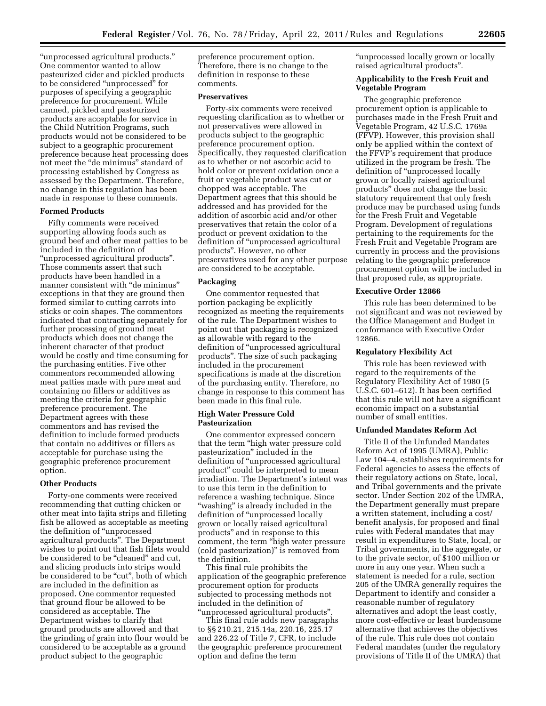''unprocessed agricultural products.'' One commentor wanted to allow pasteurized cider and pickled products to be considered "unprocessed" for purposes of specifying a geographic preference for procurement. While canned, pickled and pasteurized products are acceptable for service in the Child Nutrition Programs, such products would not be considered to be subject to a geographic procurement preference because heat processing does not meet the ''de minimus'' standard of processing established by Congress as assessed by the Department. Therefore, no change in this regulation has been made in response to these comments.

#### **Formed Products**

Fifty comments were received supporting allowing foods such as ground beef and other meat patties to be included in the definition of ''unprocessed agricultural products''. Those comments assert that such products have been handled in a manner consistent with "de minimus" exceptions in that they are ground then formed similar to cutting carrots into sticks or coin shapes. The commentors indicated that contracting separately for further processing of ground meat products which does not change the inherent character of that product would be costly and time consuming for the purchasing entities. Five other commentors recommended allowing meat patties made with pure meat and containing no fillers or additives as meeting the criteria for geographic preference procurement. The Department agrees with these commentors and has revised the definition to include formed products that contain no additives or fillers as acceptable for purchase using the geographic preference procurement option.

#### **Other Products**

Forty-one comments were received recommending that cutting chicken or other meat into fajita strips and filleting fish be allowed as acceptable as meeting the definition of ''unprocessed agricultural products''. The Department wishes to point out that fish filets would be considered to be "cleaned" and cut, and slicing products into strips would be considered to be "cut", both of which are included in the definition as proposed. One commentor requested that ground flour be allowed to be considered as acceptable. The Department wishes to clarify that ground products are allowed and that the grinding of grain into flour would be considered to be acceptable as a ground product subject to the geographic

preference procurement option. Therefore, there is no change to the definition in response to these comments.

#### **Preservatives**

Forty-six comments were received requesting clarification as to whether or not preservatives were allowed in products subject to the geographic preference procurement option. Specifically, they requested clarification as to whether or not ascorbic acid to hold color or prevent oxidation once a fruit or vegetable product was cut or chopped was acceptable. The Department agrees that this should be addressed and has provided for the addition of ascorbic acid and/or other preservatives that retain the color of a product or prevent oxidation to the definition of ''unprocessed agricultural products''. However, no other preservatives used for any other purpose are considered to be acceptable.

#### **Packaging**

One commentor requested that portion packaging be explicitly recognized as meeting the requirements of the rule. The Department wishes to point out that packaging is recognized as allowable with regard to the definition of ''unprocessed agricultural products''. The size of such packaging included in the procurement specifications is made at the discretion of the purchasing entity. Therefore, no change in response to this comment has been made in this final rule.

#### **High Water Pressure Cold Pasteurization**

One commentor expressed concern that the term ''high water pressure cold pasteurization'' included in the definition of ''unprocessed agricultural product'' could be interpreted to mean irradiation. The Department's intent was to use this term in the definition to reference a washing technique. Since ''washing'' is already included in the definition of "unprocessed locally grown or locally raised agricultural products'' and in response to this comment, the term ''high water pressure (cold pasteurization)'' is removed from the definition.

This final rule prohibits the application of the geographic preference procurement option for products subjected to processing methods not included in the definition of ''unprocessed agricultural products''.

This final rule adds new paragraphs to §§ 210.21, 215.14a, 220.16, 225.17 and 226.22 of Title 7, CFR, to include the geographic preference procurement option and define the term

''unprocessed locally grown or locally raised agricultural products''.

# **Applicability to the Fresh Fruit and Vegetable Program**

The geographic preference procurement option is applicable to purchases made in the Fresh Fruit and Vegetable Program, 42 U.S.C. 1769a (FFVP). However, this provision shall only be applied within the context of the FFVP's requirement that produce utilized in the program be fresh. The definition of ''unprocessed locally grown or locally raised agricultural products'' does not change the basic statutory requirement that only fresh produce may be purchased using funds for the Fresh Fruit and Vegetable Program. Development of regulations pertaining to the requirements for the Fresh Fruit and Vegetable Program are currently in process and the provisions relating to the geographic preference procurement option will be included in that proposed rule, as appropriate.

## **Executive Order 12866**

This rule has been determined to be not significant and was not reviewed by the Office Management and Budget in conformance with Executive Order 12866.

#### **Regulatory Flexibility Act**

This rule has been reviewed with regard to the requirements of the Regulatory Flexibility Act of 1980 (5 U.S.C. 601–612). It has been certified that this rule will not have a significant economic impact on a substantial number of small entities.

## **Unfunded Mandates Reform Act**

Title II of the Unfunded Mandates Reform Act of 1995 (UMRA), Public Law 104–4, establishes requirements for Federal agencies to assess the effects of their regulatory actions on State, local, and Tribal governments and the private sector. Under Section 202 of the UMRA, the Department generally must prepare a written statement, including a cost/ benefit analysis, for proposed and final rules with Federal mandates that may result in expenditures to State, local, or Tribal governments, in the aggregate, or to the private sector, of \$100 million or more in any one year. When such a statement is needed for a rule, section 205 of the UMRA generally requires the Department to identify and consider a reasonable number of regulatory alternatives and adopt the least costly, more cost-effective or least burdensome alternative that achieves the objectives of the rule. This rule does not contain Federal mandates (under the regulatory provisions of Title II of the UMRA) that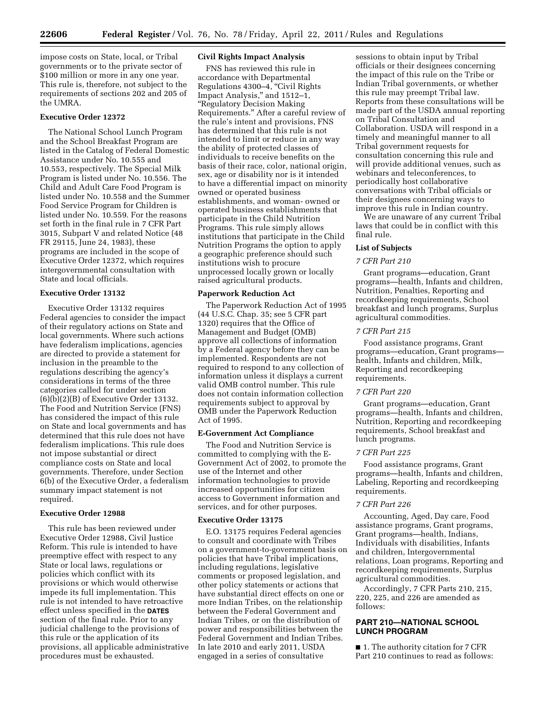impose costs on State, local, or Tribal governments or to the private sector of \$100 million or more in any one year. This rule is, therefore, not subject to the requirements of sections 202 and 205 of the UMRA.

# **Executive Order 12372**

The National School Lunch Program and the School Breakfast Program are listed in the Catalog of Federal Domestic Assistance under No. 10.555 and 10.553, respectively. The Special Milk Program is listed under No. 10.556. The Child and Adult Care Food Program is listed under No. 10.558 and the Summer Food Service Program for Children is listed under No. 10.559. For the reasons set forth in the final rule in 7 CFR Part 3015, Subpart V and related Notice (48 FR 29115, June 24, 1983), these programs are included in the scope of Executive Order 12372, which requires intergovernmental consultation with State and local officials.

# **Executive Order 13132**

Executive Order 13132 requires Federal agencies to consider the impact of their regulatory actions on State and local governments. Where such actions have federalism implications, agencies are directed to provide a statement for inclusion in the preamble to the regulations describing the agency's considerations in terms of the three categories called for under section (6)(b)(2)(B) of Executive Order 13132. The Food and Nutrition Service (FNS) has considered the impact of this rule on State and local governments and has determined that this rule does not have federalism implications. This rule does not impose substantial or direct compliance costs on State and local governments. Therefore, under Section 6(b) of the Executive Order, a federalism summary impact statement is not required.

# **Executive Order 12988**

This rule has been reviewed under Executive Order 12988, Civil Justice Reform. This rule is intended to have preemptive effect with respect to any State or local laws, regulations or policies which conflict with its provisions or which would otherwise impede its full implementation. This rule is not intended to have retroactive effect unless specified in the **DATES** section of the final rule. Prior to any judicial challenge to the provisions of this rule or the application of its provisions, all applicable administrative procedures must be exhausted.

## **Civil Rights Impact Analysis**

FNS has reviewed this rule in accordance with Departmental Regulations 4300–4, ''Civil Rights Impact Analysis,'' and 1512–1, ''Regulatory Decision Making Requirements.'' After a careful review of the rule's intent and provisions, FNS has determined that this rule is not intended to limit or reduce in any way the ability of protected classes of individuals to receive benefits on the basis of their race, color, national origin, sex, age or disability nor is it intended to have a differential impact on minority owned or operated business establishments, and woman- owned or operated business establishments that participate in the Child Nutrition Programs. This rule simply allows institutions that participate in the Child Nutrition Programs the option to apply a geographic preference should such institutions wish to procure unprocessed locally grown or locally raised agricultural products.

#### **Paperwork Reduction Act**

The Paperwork Reduction Act of 1995 (44 U.S.C. Chap. 35; see 5 CFR part 1320) requires that the Office of Management and Budget (OMB) approve all collections of information by a Federal agency before they can be implemented. Respondents are not required to respond to any collection of information unless it displays a current valid OMB control number. This rule does not contain information collection requirements subject to approval by OMB under the Paperwork Reduction Act of 1995.

# **E-Government Act Compliance**

The Food and Nutrition Service is committed to complying with the E-Government Act of 2002, to promote the use of the Internet and other information technologies to provide increased opportunities for citizen access to Government information and services, and for other purposes.

#### **Executive Order 13175**

E.O. 13175 requires Federal agencies to consult and coordinate with Tribes on a government-to-government basis on policies that have Tribal implications, including regulations, legislative comments or proposed legislation, and other policy statements or actions that have substantial direct effects on one or more Indian Tribes, on the relationship between the Federal Government and Indian Tribes, or on the distribution of power and responsibilities between the Federal Government and Indian Tribes. In late 2010 and early 2011, USDA engaged in a series of consultative

sessions to obtain input by Tribal officials or their designees concerning the impact of this rule on the Tribe or Indian Tribal governments, or whether this rule may preempt Tribal law. Reports from these consultations will be made part of the USDA annual reporting on Tribal Consultation and Collaboration. USDA will respond in a timely and meaningful manner to all Tribal government requests for consultation concerning this rule and will provide additional venues, such as webinars and teleconferences, to periodically host collaborative conversations with Tribal officials or their designees concerning ways to improve this rule in Indian country.

We are unaware of any current Tribal laws that could be in conflict with this final rule.

#### **List of Subjects**

#### *7 CFR Part 210*

Grant programs—education, Grant programs—health, Infants and children, Nutrition, Penalties, Reporting and recordkeeping requirements, School breakfast and lunch programs, Surplus agricultural commodities.

#### *7 CFR Part 215*

Food assistance programs, Grant programs—education, Grant programs health, Infants and children, Milk, Reporting and recordkeeping requirements.

#### *7 CFR Part 220*

Grant programs—education, Grant programs—health, Infants and children, Nutrition, Reporting and recordkeeping requirements, School breakfast and lunch programs.

#### *7 CFR Part 225*

Food assistance programs, Grant programs—health, Infants and children, Labeling, Reporting and recordkeeping requirements.

#### *7 CFR Part 226*

Accounting, Aged, Day care, Food assistance programs, Grant programs, Grant programs—health, Indians, Individuals with disabilities, Infants and children, Intergovernmental relations, Loan programs, Reporting and recordkeeping requirements, Surplus agricultural commodities.

Accordingly, 7 CFR Parts 210, 215, 220, 225, and 226 are amended as follows:

# **PART 210—NATIONAL SCHOOL LUNCH PROGRAM**

■ 1. The authority citation for 7 CFR Part 210 continues to read as follows: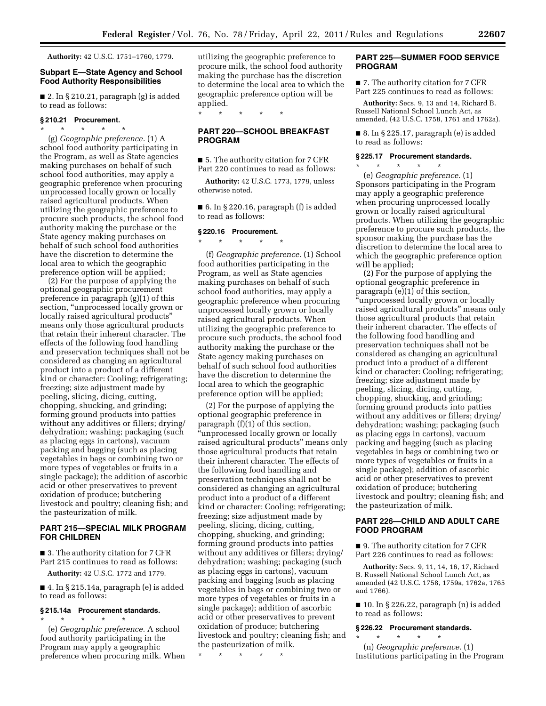**Authority:** 42 U.S.C. 1751–1760, 1779.

# **Subpart E—State Agency and School Food Authority Responsibilities**

■ 2. In § 210.21, paragraph (g) is added to read as follows:

#### **§ 210.21 Procurement.**

\* \* \* \* \* (g) *Geographic preference.* (1) A school food authority participating in the Program, as well as State agencies making purchases on behalf of such school food authorities, may apply a geographic preference when procuring unprocessed locally grown or locally raised agricultural products. When utilizing the geographic preference to procure such products, the school food authority making the purchase or the State agency making purchases on behalf of such school food authorities have the discretion to determine the local area to which the geographic preference option will be applied;

(2) For the purpose of applying the optional geographic procurement preference in paragraph (g)(1) of this section, "unprocessed locally grown or locally raised agricultural products'' means only those agricultural products that retain their inherent character. The effects of the following food handling and preservation techniques shall not be considered as changing an agricultural product into a product of a different kind or character: Cooling; refrigerating; freezing; size adjustment made by peeling, slicing, dicing, cutting, chopping, shucking, and grinding; forming ground products into patties without any additives or fillers; drying/ dehydration; washing; packaging (such as placing eggs in cartons), vacuum packing and bagging (such as placing vegetables in bags or combining two or more types of vegetables or fruits in a single package); the addition of ascorbic acid or other preservatives to prevent oxidation of produce; butchering livestock and poultry; cleaning fish; and the pasteurization of milk.

# **PART 215—SPECIAL MILK PROGRAM FOR CHILDREN**

■ 3. The authority citation for 7 CFR Part 215 continues to read as follows:

**Authority:** 42 U.S.C. 1772 and 1779.

■ 4. In § 215.14a, paragraph (e) is added to read as follows:

## **§ 215.14a Procurement standards.**  \* \* \* \* \*

(e) *Geographic preference.* A school food authority participating in the Program may apply a geographic preference when procuring milk. When utilizing the geographic preference to procure milk, the school food authority making the purchase has the discretion to determine the local area to which the geographic preference option will be applied.

\* \* \* \* \*

# **PART 220—SCHOOL BREAKFAST PROGRAM**

■ 5. The authority citation for 7 CFR Part 220 continues to read as follows:

**Authority:** 42 U.S.C. 1773, 1779, unless otherwise noted.

 $\blacksquare$  6. In § 220.16, paragraph (f) is added to read as follows:

## **§ 220.16 Procurement.**

\* \* \* \* \*

(f) *Geographic preference.* (1) School food authorities participating in the Program, as well as State agencies making purchases on behalf of such school food authorities, may apply a geographic preference when procuring unprocessed locally grown or locally raised agricultural products. When utilizing the geographic preference to procure such products, the school food authority making the purchase or the State agency making purchases on behalf of such school food authorities have the discretion to determine the local area to which the geographic preference option will be applied;

(2) For the purpose of applying the optional geographic preference in paragraph (f)(1) of this section, ''unprocessed locally grown or locally raised agricultural products'' means only those agricultural products that retain their inherent character. The effects of the following food handling and preservation techniques shall not be considered as changing an agricultural product into a product of a different kind or character: Cooling; refrigerating; freezing; size adjustment made by peeling, slicing, dicing, cutting, chopping, shucking, and grinding; forming ground products into patties without any additives or fillers; drying/ dehydration; washing; packaging (such as placing eggs in cartons), vacuum packing and bagging (such as placing vegetables in bags or combining two or more types of vegetables or fruits in a single package); addition of ascorbic acid or other preservatives to prevent oxidation of produce; butchering livestock and poultry; cleaning fish; and the pasteurization of milk.

\* \* \* \* \*

## **PART 225—SUMMER FOOD SERVICE PROGRAM**

■ 7. The authority citation for 7 CFR Part 225 continues to read as follows:

**Authority:** Secs. 9, 13 and 14, Richard B. Russell National School Lunch Act, as amended, (42 U.S.C. 1758, 1761 and 1762a).

■ 8. In § 225.17, paragraph (e) is added to read as follows:

#### **§ 225.17 Procurement standards.**

\* \* \* \* \* (e) *Geographic preference.* (1) Sponsors participating in the Program may apply a geographic preference when procuring unprocessed locally grown or locally raised agricultural products. When utilizing the geographic preference to procure such products, the sponsor making the purchase has the discretion to determine the local area to which the geographic preference option will be applied;

(2) For the purpose of applying the optional geographic preference in paragraph (e)(1) of this section, ''unprocessed locally grown or locally raised agricultural products'' means only those agricultural products that retain their inherent character. The effects of the following food handling and preservation techniques shall not be considered as changing an agricultural product into a product of a different kind or character: Cooling; refrigerating; freezing; size adjustment made by peeling, slicing, dicing, cutting, chopping, shucking, and grinding; forming ground products into patties without any additives or fillers; drying/ dehydration; washing; packaging (such as placing eggs in cartons), vacuum packing and bagging (such as placing vegetables in bags or combining two or more types of vegetables or fruits in a single package); addition of ascorbic acid or other preservatives to prevent oxidation of produce; butchering livestock and poultry; cleaning fish; and the pasteurization of milk.

# **PART 226—CHILD AND ADULT CARE FOOD PROGRAM**

■ 9. The authority citation for 7 CFR Part 226 continues to read as follows:

**Authority:** Secs. 9, 11, 14, 16, 17, Richard B. Russell National School Lunch Act, as amended (42 U.S.C. 1758, 1759a, 1762a, 1765 and 1766).

 $\blacksquare$  10. In § 226.22, paragraph (n) is added to read as follows:

## **§ 226.22 Procurement standards.**

\* \* \* \* \* (n) *Geographic preference.* (1) Institutions participating in the Program